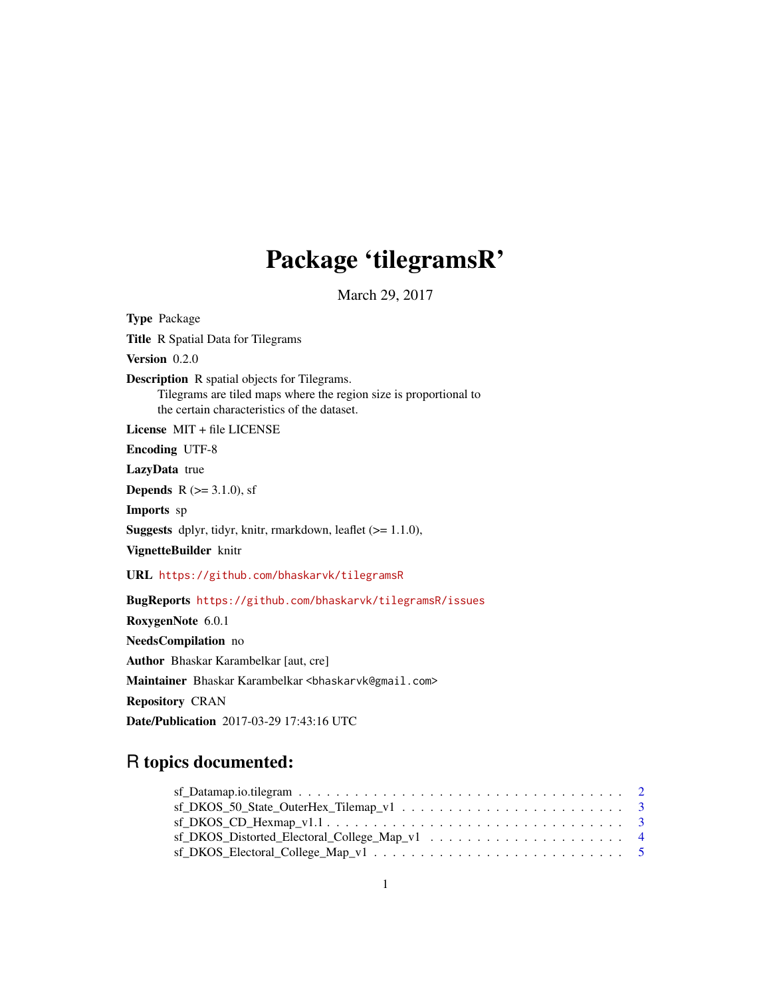# Package 'tilegramsR'

March 29, 2017

Type Package Title R Spatial Data for Tilegrams Version 0.2.0 Description R spatial objects for Tilegrams. Tilegrams are tiled maps where the region size is proportional to the certain characteristics of the dataset. License MIT + file LICENSE Encoding UTF-8 LazyData true **Depends** R ( $>= 3.1.0$ ), sf Imports sp Suggests dplyr, tidyr, knitr, rmarkdown, leaflet (>= 1.1.0), VignetteBuilder knitr URL <https://github.com/bhaskarvk/tilegramsR> BugReports <https://github.com/bhaskarvk/tilegramsR/issues> RoxygenNote 6.0.1 NeedsCompilation no Author Bhaskar Karambelkar [aut, cre] Maintainer Bhaskar Karambelkar <br/>bhaskarvk@gmail.com> Repository CRAN Date/Publication 2017-03-29 17:43:16 UTC

# R topics documented: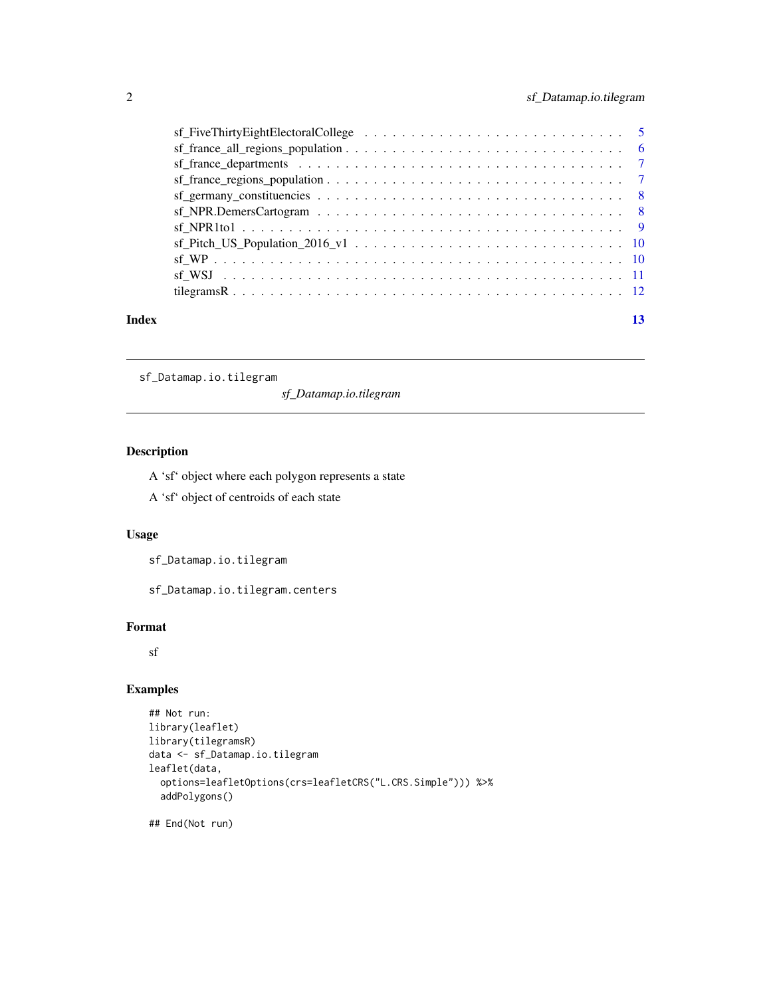<span id="page-1-0"></span>

|       | $\text{sf\_germany\_constituencies} \dots \dots \dots \dots \dots \dots \dots \dots \dots \dots \dots \dots \dots \dots$ |    |
|-------|--------------------------------------------------------------------------------------------------------------------------|----|
|       |                                                                                                                          |    |
|       |                                                                                                                          |    |
|       |                                                                                                                          |    |
|       |                                                                                                                          |    |
|       |                                                                                                                          |    |
|       |                                                                                                                          |    |
| Index |                                                                                                                          | 13 |

sf\_Datamap.io.tilegram

*sf\_Datamap.io.tilegram*

# Description

A 'sf' object where each polygon represents a state

A 'sf' object of centroids of each state

# Usage

sf\_Datamap.io.tilegram

sf\_Datamap.io.tilegram.centers

#### Format

sf

# Examples

```
## Not run:
library(leaflet)
library(tilegramsR)
data <- sf_Datamap.io.tilegram
leaflet(data,
  options=leafletOptions(crs=leafletCRS("L.CRS.Simple"))) %>%
  addPolygons()
```
## End(Not run)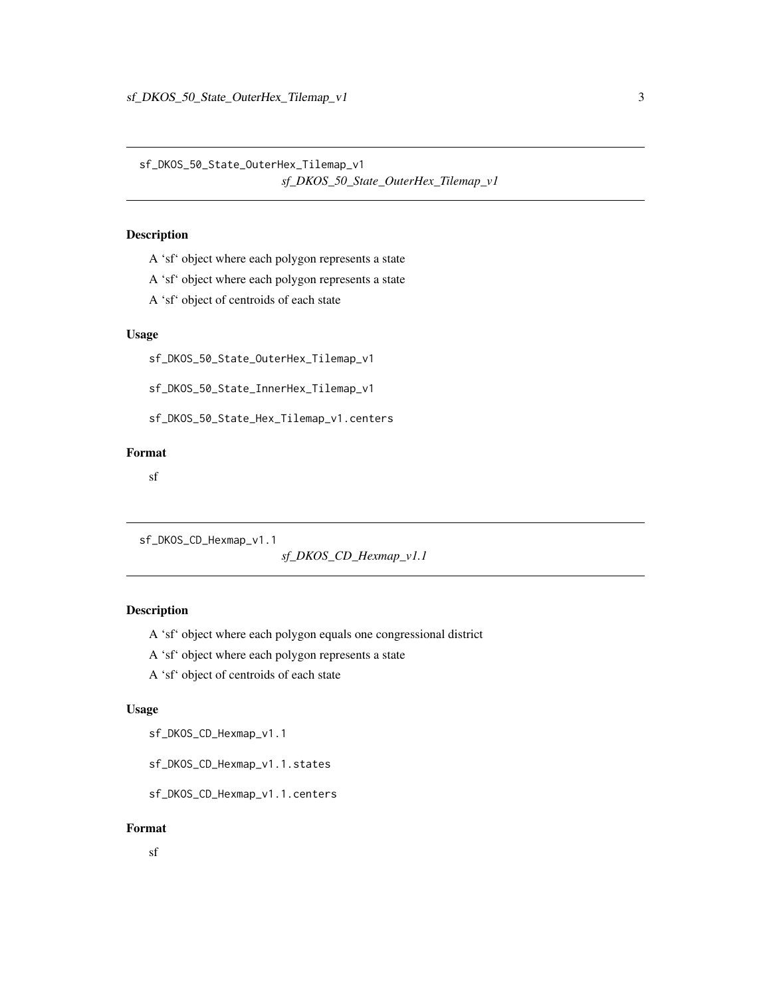<span id="page-2-0"></span>sf\_DKOS\_50\_State\_OuterHex\_Tilemap\_v1 *sf\_DKOS\_50\_State\_OuterHex\_Tilemap\_v1*

# Description

A 'sf' object where each polygon represents a state

- A 'sf' object where each polygon represents a state
- A 'sf' object of centroids of each state

#### Usage

sf\_DKOS\_50\_State\_OuterHex\_Tilemap\_v1

sf\_DKOS\_50\_State\_InnerHex\_Tilemap\_v1

sf\_DKOS\_50\_State\_Hex\_Tilemap\_v1.centers

# Format

sf

```
sf_DKOS_CD_Hexmap_v1.1
```
*sf\_DKOS\_CD\_Hexmap\_v1.1*

# Description

A 'sf' object where each polygon equals one congressional district

A 'sf' object where each polygon represents a state

A 'sf' object of centroids of each state

#### Usage

sf\_DKOS\_CD\_Hexmap\_v1.1

sf\_DKOS\_CD\_Hexmap\_v1.1.states

sf\_DKOS\_CD\_Hexmap\_v1.1.centers

#### Format

sf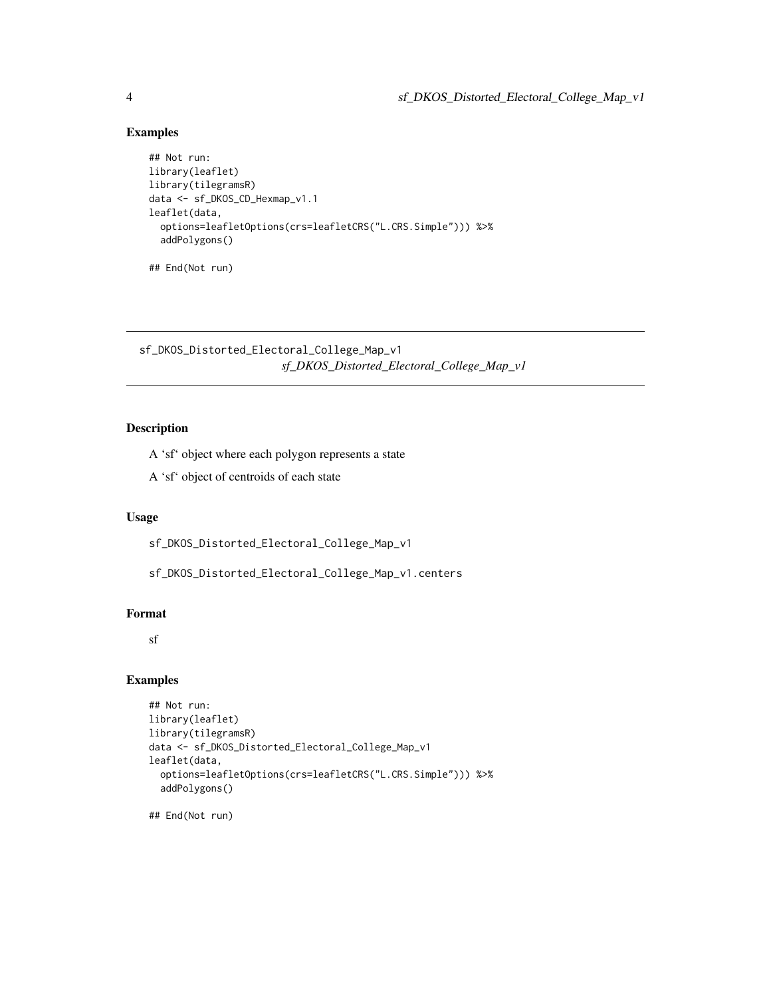# Examples

```
## Not run:
library(leaflet)
library(tilegramsR)
data <- sf_DKOS_CD_Hexmap_v1.1
leaflet(data,
  options=leafletOptions(crs=leafletCRS("L.CRS.Simple"))) %>%
  addPolygons()
```
## End(Not run)

sf\_DKOS\_Distorted\_Electoral\_College\_Map\_v1 *sf\_DKOS\_Distorted\_Electoral\_College\_Map\_v1*

# Description

A 'sf' object where each polygon represents a state

A 'sf' object of centroids of each state

#### Usage

sf\_DKOS\_Distorted\_Electoral\_College\_Map\_v1

sf\_DKOS\_Distorted\_Electoral\_College\_Map\_v1.centers

#### Format

sf

#### Examples

```
## Not run:
library(leaflet)
library(tilegramsR)
data <- sf_DKOS_Distorted_Electoral_College_Map_v1
leaflet(data,
  options=leafletOptions(crs=leafletCRS("L.CRS.Simple"))) %>%
  addPolygons()
```
## End(Not run)

<span id="page-3-0"></span>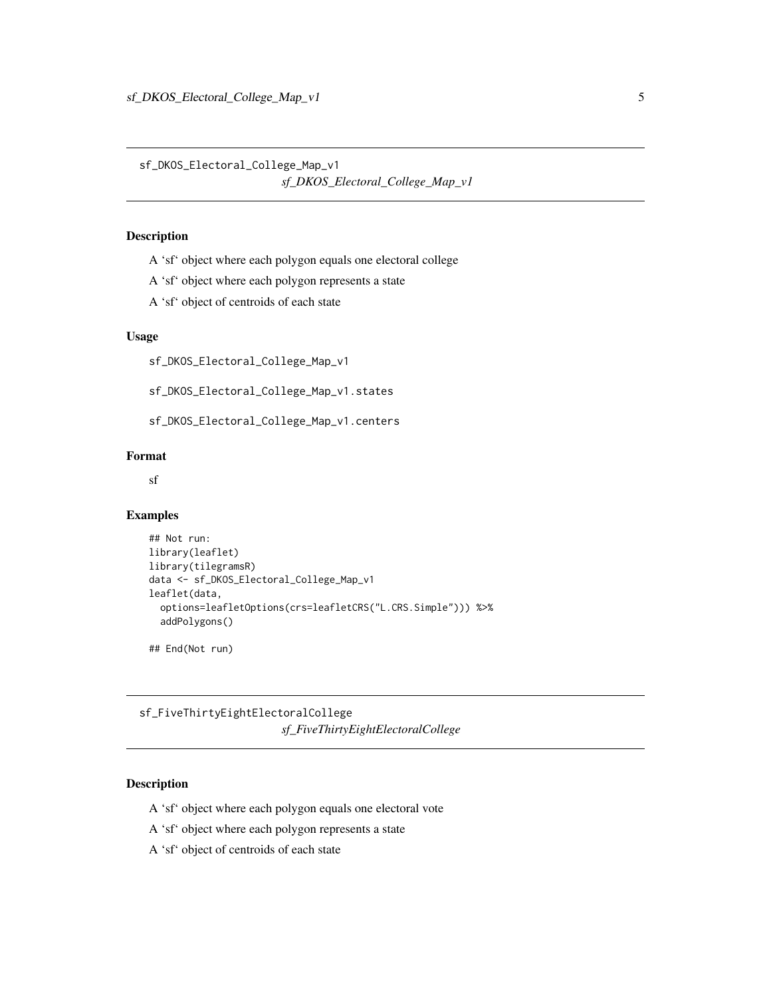<span id="page-4-0"></span>sf\_DKOS\_Electoral\_College\_Map\_v1 *sf\_DKOS\_Electoral\_College\_Map\_v1*

# Description

- A 'sf' object where each polygon equals one electoral college
- A 'sf' object where each polygon represents a state
- A 'sf' object of centroids of each state

#### Usage

sf\_DKOS\_Electoral\_College\_Map\_v1

sf\_DKOS\_Electoral\_College\_Map\_v1.states

sf\_DKOS\_Electoral\_College\_Map\_v1.centers

# Format

sf

#### Examples

```
## Not run:
library(leaflet)
library(tilegramsR)
data <- sf_DKOS_Electoral_College_Map_v1
leaflet(data,
  options=leafletOptions(crs=leafletCRS("L.CRS.Simple"))) %>%
  addPolygons()
```
## End(Not run)

sf\_FiveThirtyEightElectoralCollege *sf\_FiveThirtyEightElectoralCollege*

### Description

- A 'sf' object where each polygon equals one electoral vote
- A 'sf' object where each polygon represents a state
- A 'sf' object of centroids of each state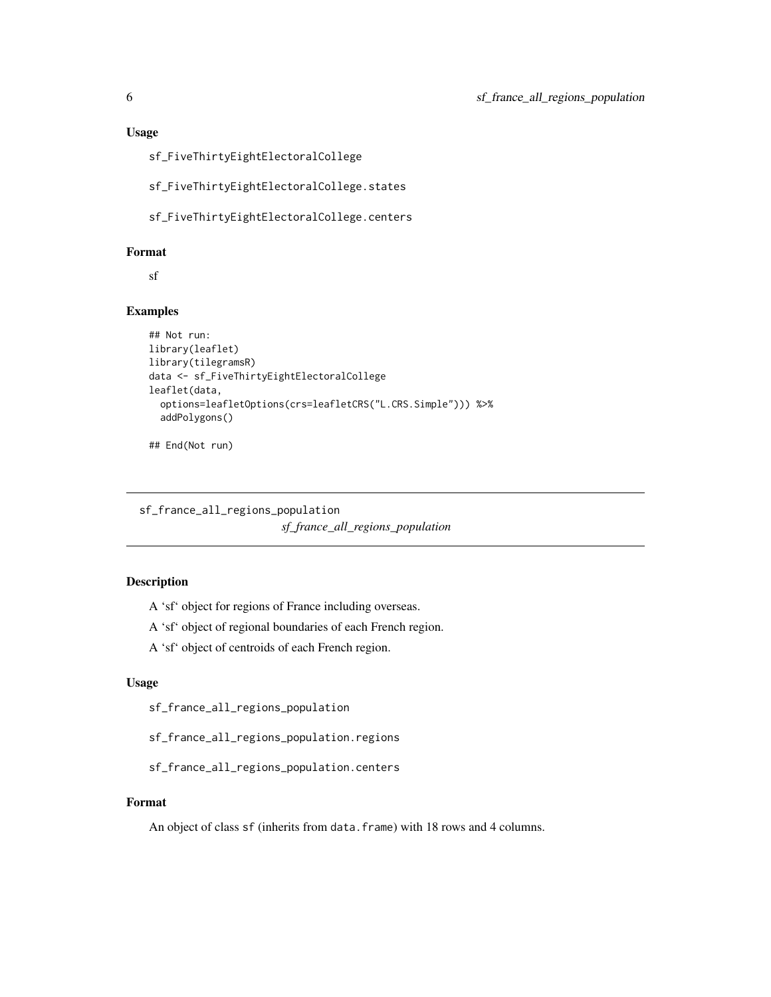<span id="page-5-0"></span>

sf\_FiveThirtyEightElectoralCollege

sf\_FiveThirtyEightElectoralCollege.states

sf\_FiveThirtyEightElectoralCollege.centers

#### Format

sf

# Examples

```
## Not run:
library(leaflet)
library(tilegramsR)
data <- sf_FiveThirtyEightElectoralCollege
leaflet(data,
  options=leafletOptions(crs=leafletCRS("L.CRS.Simple"))) %>%
  addPolygons()
```
## End(Not run)

sf\_france\_all\_regions\_population *sf\_france\_all\_regions\_population*

# Description

A 'sf' object for regions of France including overseas.

A 'sf' object of regional boundaries of each French region.

A 'sf' object of centroids of each French region.

#### Usage

sf\_france\_all\_regions\_population

sf\_france\_all\_regions\_population.regions

sf\_france\_all\_regions\_population.centers

#### Format

An object of class sf (inherits from data.frame) with 18 rows and 4 columns.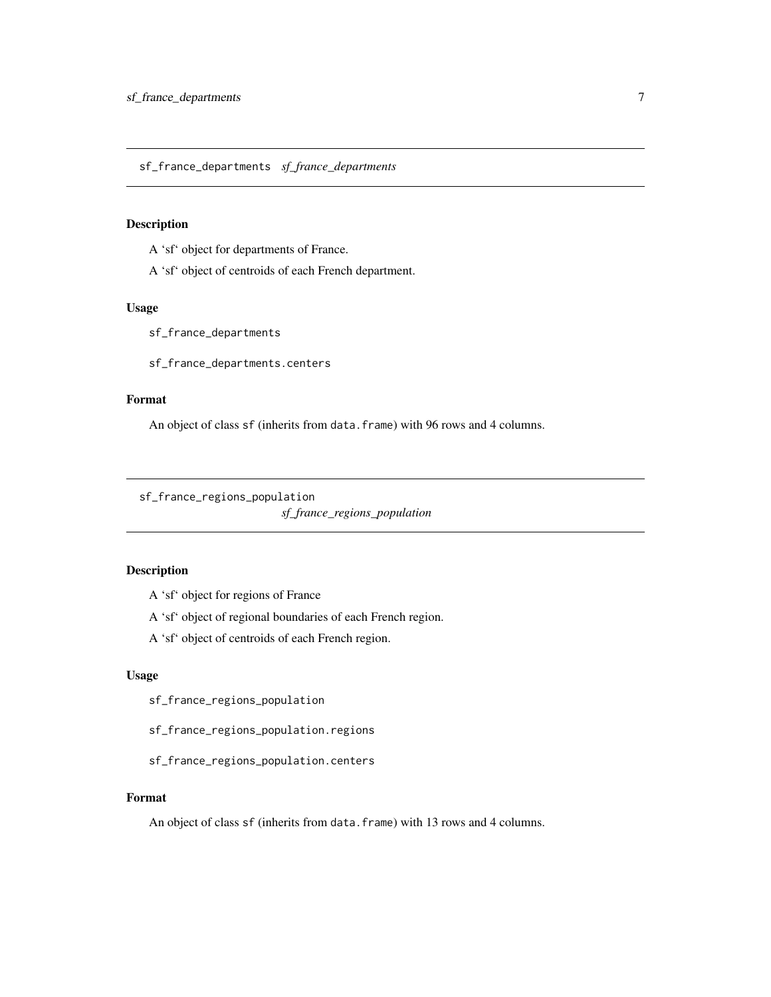<span id="page-6-0"></span>sf\_france\_departments *sf\_france\_departments*

#### Description

A 'sf' object for departments of France.

A 'sf' object of centroids of each French department.

# Usage

sf\_france\_departments

sf\_france\_departments.centers

#### Format

An object of class sf (inherits from data.frame) with 96 rows and 4 columns.

sf\_france\_regions\_population

*sf\_france\_regions\_population*

# Description

A 'sf' object for regions of France

A 'sf' object of regional boundaries of each French region.

A 'sf' object of centroids of each French region.

# Usage

sf\_france\_regions\_population

sf\_france\_regions\_population.regions

sf\_france\_regions\_population.centers

#### Format

An object of class sf (inherits from data.frame) with 13 rows and 4 columns.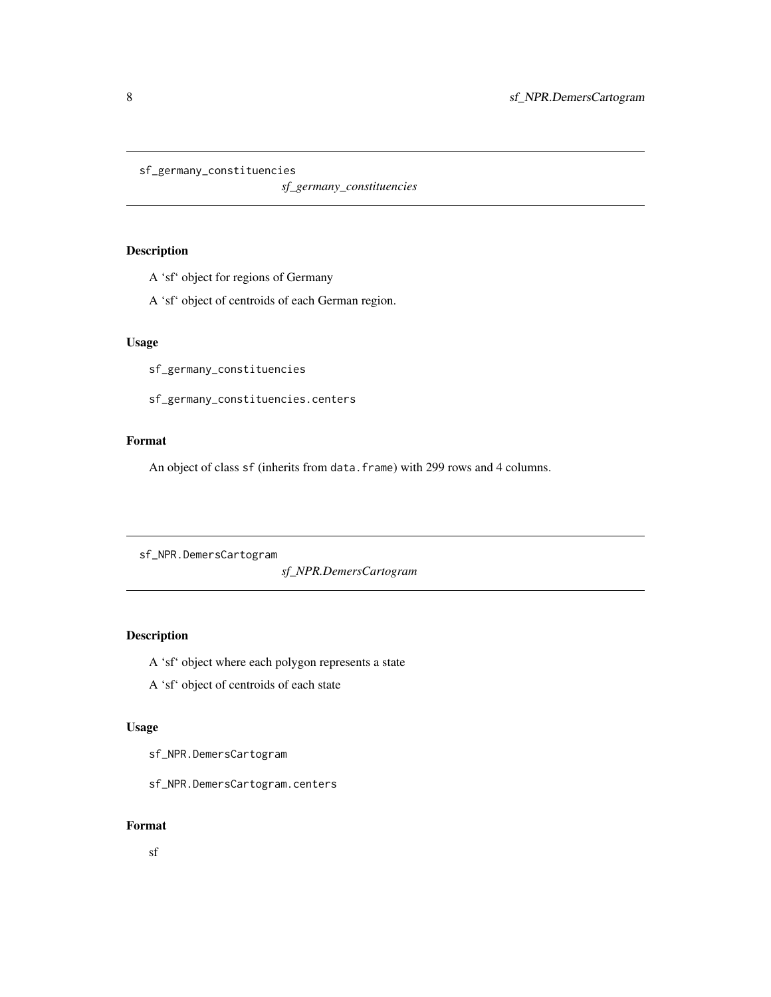<span id="page-7-0"></span>sf\_germany\_constituencies

*sf\_germany\_constituencies*

# Description

A 'sf' object for regions of Germany

A 'sf' object of centroids of each German region.

# Usage

sf\_germany\_constituencies

sf\_germany\_constituencies.centers

### Format

An object of class sf (inherits from data.frame) with 299 rows and 4 columns.

sf\_NPR.DemersCartogram

*sf\_NPR.DemersCartogram*

# Description

A 'sf' object where each polygon represents a state

A 'sf' object of centroids of each state

# Usage

sf\_NPR.DemersCartogram

sf\_NPR.DemersCartogram.centers

# Format

sf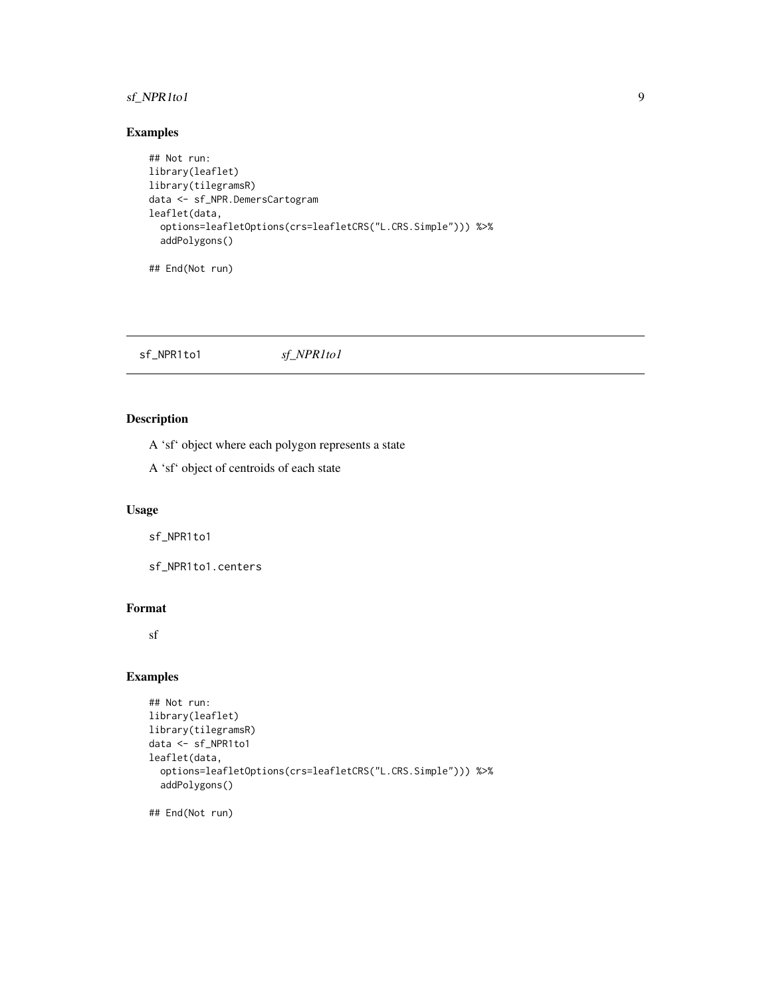# <span id="page-8-0"></span>sf\_NPR1to1 9

# Examples

```
## Not run:
library(leaflet)
library(tilegramsR)
data <- sf_NPR.DemersCartogram
leaflet(data,
 options=leafletOptions(crs=leafletCRS("L.CRS.Simple"))) %>%
  addPolygons()
```
## End(Not run)

sf\_NPR1to1 *sf\_NPR1to1*

# Description

A 'sf' object where each polygon represents a state

A 'sf' object of centroids of each state

#### Usage

sf\_NPR1to1

sf\_NPR1to1.centers

#### Format

sf

#### Examples

```
## Not run:
library(leaflet)
library(tilegramsR)
data <- sf_NPR1to1
leaflet(data,
  options=leafletOptions(crs=leafletCRS("L.CRS.Simple"))) %>%
  addPolygons()
## End(Not run)
```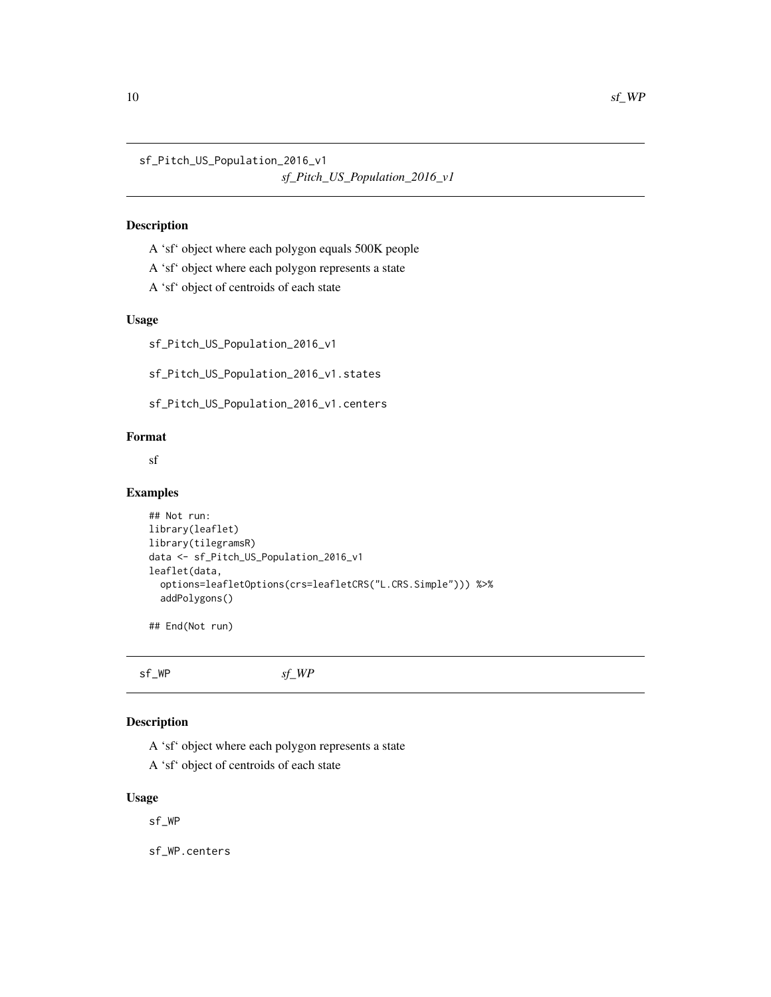<span id="page-9-0"></span>sf\_Pitch\_US\_Population\_2016\_v1

```
sf_Pitch_US_Population_2016_v1
```
#### Description

- A 'sf' object where each polygon equals 500K people
- A 'sf' object where each polygon represents a state
- A 'sf' object of centroids of each state

#### Usage

sf\_Pitch\_US\_Population\_2016\_v1

sf\_Pitch\_US\_Population\_2016\_v1.states

sf\_Pitch\_US\_Population\_2016\_v1.centers

# Format

sf

#### Examples

```
## Not run:
library(leaflet)
library(tilegramsR)
data <- sf_Pitch_US_Population_2016_v1
leaflet(data,
  options=leafletOptions(crs=leafletCRS("L.CRS.Simple"))) %>%
  addPolygons()
```
## End(Not run)

sf\_WP *sf\_WP*

#### Description

A 'sf' object where each polygon represents a state

A 'sf' object of centroids of each state

#### Usage

sf\_WP

sf\_WP.centers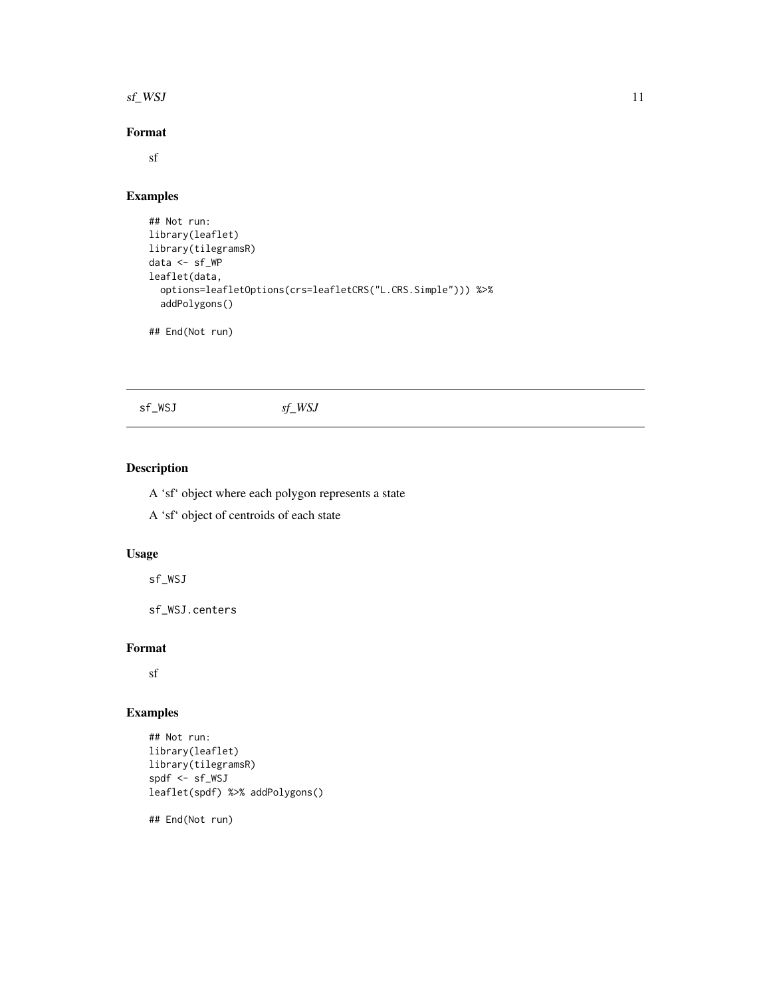#### <span id="page-10-0"></span> $s f$  WSJ 11

# Format

sf

# Examples

```
## Not run:
library(leaflet)
library(tilegramsR)
data <- sf_WP
leaflet(data,
  options=leafletOptions(crs=leafletCRS("L.CRS.Simple"))) %>%
  addPolygons()
```
## End(Not run)

# sf\_WSJ *sf\_WSJ*

# Description

A 'sf' object where each polygon represents a state

A 'sf' object of centroids of each state

# Usage

sf\_WSJ

sf\_WSJ.centers

#### Format

sf

# Examples

```
## Not run:
library(leaflet)
library(tilegramsR)
spdf <- sf_WSJ
leaflet(spdf) %>% addPolygons()
```
## End(Not run)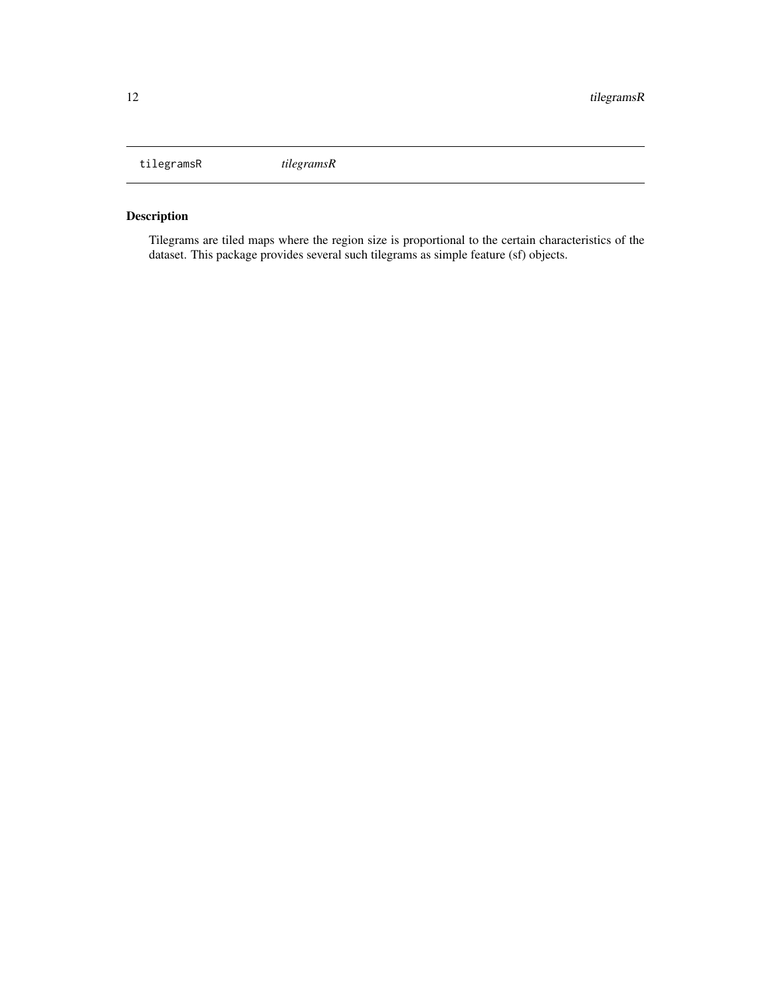<span id="page-11-0"></span>tilegramsR *tilegramsR*

# Description

Tilegrams are tiled maps where the region size is proportional to the certain characteristics of the dataset. This package provides several such tilegrams as simple feature (sf) objects.